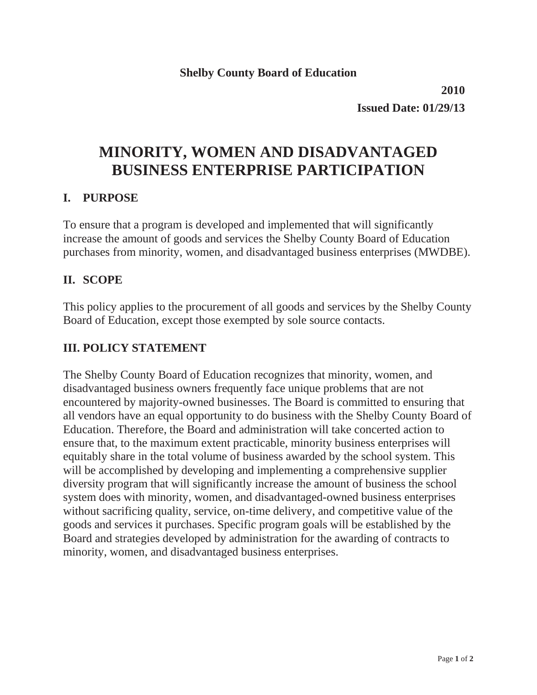**2010 Issued Date: 01/29/13**

# **MINORITY, WOMEN AND DISADVANTAGED BUSINESS ENTERPRISE PARTICIPATION**

### **I. PURPOSE**

To ensure that a program is developed and implemented that will significantly increase the amount of goods and services the Shelby County Board of Education purchases from minority, women, and disadvantaged business enterprises (MWDBE).

### **II. SCOPE**

This policy applies to the procurement of all goods and services by the Shelby County Board of Education, except those exempted by sole source contacts.

## **III. POLICY STATEMENT**

The Shelby County Board of Education recognizes that minority, women, and disadvantaged business owners frequently face unique problems that are not encountered by majority-owned businesses. The Board is committed to ensuring that all vendors have an equal opportunity to do business with the Shelby County Board of Education. Therefore, the Board and administration will take concerted action to ensure that, to the maximum extent practicable, minority business enterprises will equitably share in the total volume of business awarded by the school system. This will be accomplished by developing and implementing a comprehensive supplier diversity program that will significantly increase the amount of business the school system does with minority, women, and disadvantaged-owned business enterprises without sacrificing quality, service, on-time delivery, and competitive value of the goods and services it purchases. Specific program goals will be established by the Board and strategies developed by administration for the awarding of contracts to minority, women, and disadvantaged business enterprises.